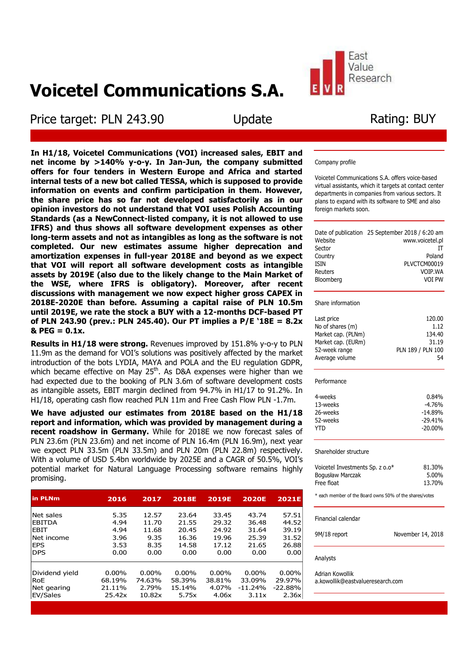# **Voicetel Communications S.A.**

Price target: PLN 243.90 Update

Rating: BUY

**In H1/18, Voicetel Communications (VOI) increased sales, EBIT and net income by >140% y-o-y. In Jan-Jun, the company submitted offers for four tenders in Western Europe and Africa and started internal tests of a new bot called TESSA, which is supposed to provide information on events and confirm participation in them. However, the share price has so far not developed satisfactorily as in our opinion investors do not understand that VOI uses Polish Accounting Standards (as a NewConnect-listed company, it is not allowed to use IFRS) and thus shows all software development expenses as other long-term assets and not as intangibles as long as the software is not completed. Our new estimates assume higher deprecation and amortization expenses in full-year 2018E and beyond as we expect that VOI will report all software development costs as intangible assets by 2019E (also due to the likely change to the Main Market of the WSE, where IFRS is obligatory). Moreover, after recent discussions with management we now expect higher gross CAPEX in 2018E-2020E than before. Assuming a capital raise of PLN 10.5m until 2019E, we rate the stock a BUY with a 12-months DCF-based PT of PLN 243.90 (prev.: PLN 245.40). Our PT implies a P/E '18E = 8.2x & PEG = 0.1x.**

**Results in H1/18 were strong.** Revenues improved by 151.8% y-o-y to PLN 11.9m as the demand for VOI's solutions was positively affected by the market introduction of the bots LYDIA, MAYA and POLA and the EU regulation GDPR, which became effective on May 25<sup>th</sup>. As D&A expenses were higher than we had expected due to the booking of PLN 3.6m of software development costs as intangible assets, EBIT margin declined from 94.7% in H1/17 to 91.2%. In H1/18, operating cash flow reached PLN 11m and Free Cash Flow PLN -1.7m.

**We have adjusted our estimates from 2018E based on the H1/18 report and information, which was provided by management during a recent roadshow in Germany.** While for 2018E we now forecast sales of PLN 23.6m (PLN 23.6m) and net income of PLN 16.4m (PLN 16.9m), next year we expect PLN 33.5m (PLN 33.5m) and PLN 20m (PLN 22.8m) respectively. With a volume of USD 5.4bn worldwide by 2025E and a CAGR of 50.5%, VOI's potential market for Natural Language Processing software remains highly promising.

| in PLNm        | 2016     | 2017     | <b>2018E</b> | <b>2019E</b> | <b>2020E</b> | <b>2021E</b> |
|----------------|----------|----------|--------------|--------------|--------------|--------------|
| Net sales      | 5.35     | 12.57    | 23.64        | 33.45        | 43.74        | 57.51        |
| <b>EBITDA</b>  | 4.94     | 11.70    | 21.55        | 29.32        | 36.48        | 44.52        |
| <b>EBIT</b>    | 4.94     | 11.68    | 20.45        | 24.92        | 31.64        | 39.19        |
| lNet income    | 3.96     | 9.35     | 16.36        | 19.96        | 25.39        | 31.52        |
| <b>EPS</b>     | 3.53     | 8.35     | 14.58        | 17.12        | 21.65        | 26.88        |
| <b>DPS</b>     | 0.00     | 0.00     | 0.00         | 0.00         | 0.00         | 0.00         |
| Dividend yield | $0.00\%$ | $0.00\%$ | $0.00\%$     | $0.00\%$     | $0.00\%$     | $0.00\%$     |
| <b>RoE</b>     | 68.19%   | 74.63%   | 58.39%       | 38.81%       | 33.09%       | 29.97%       |
| Net gearing    | 21.11%   | 2.79%    | 15.14%       | 4.07%        | $-11.24%$    | $-22.88%$    |
| EV/Sales       | 25.42x   | 10.82x   | 5.75x        | 4.06x        | 3.11x        | 2.36x        |
|                |          |          |              |              |              |              |

#### Company profile

Fast Value Research

Voicetel Communications S.A. offers voice-based virtual assistants, which it targets at contact center departments in companies from various sectors. It plans to expand with its software to SME and also foreign markets soon.

|             | Date of publication 25 September 2018 / 6:20 am |
|-------------|-------------------------------------------------|
| Website     | www.voicetel.pl                                 |
| Sector      |                                                 |
| Country     | Poland                                          |
| <b>ISIN</b> | PLVCTCM00019                                    |
| Reuters     | VOIP.WA                                         |
| Bloomberg   | VOT PW                                          |
|             |                                                 |

#### Share information

| Last price         | 120.00            |
|--------------------|-------------------|
| No of shares (m)   | 1.12              |
| Market cap. (PLNm) | 134.40            |
| Market cap. (EURm) | 31.19             |
| 52-week range      | PLN 189 / PLN 100 |
| Average volume     | 54                |
|                    |                   |

#### Performance

| 4-weeks  | 0.84%      |
|----------|------------|
| 13-weeks | $-4.76%$   |
| 26-weeks | $-14.89%$  |
| 52-weeks | $-29.41%$  |
| YTD.     | $-20.00\%$ |

#### Shareholder structure

| Voicetel Investments Sp. z o.o* | 81.30% |
|---------------------------------|--------|
| Bogusław Marczak                | 5.00%  |
| Free float                      | 13.70% |

\* each member of the Board owns 50% of the shares/votes

| Analysts           |                   |
|--------------------|-------------------|
| 9M/18 report       | November 14, 2018 |
| Financial calendar |                   |

Adrian Kowollik a.kowollik@eastvalueresearch.com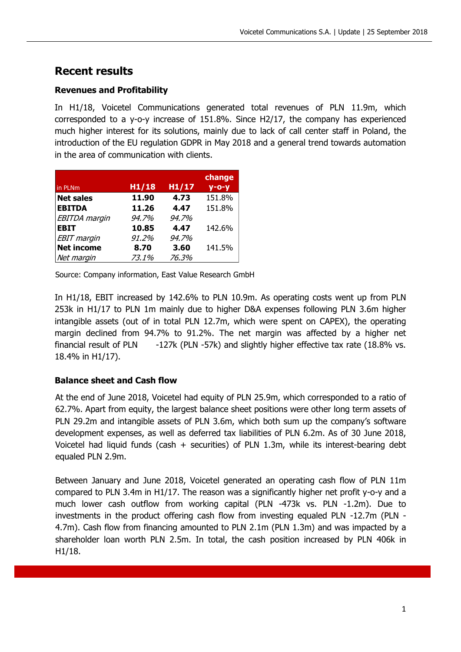# **Recent results**

### **Revenues and Profitability**

In H1/18, Voicetel Communications generated total revenues of PLN 11.9m, which corresponded to a y-o-y increase of 151.8%. Since H2/17, the company has experienced much higher interest for its solutions, mainly due to lack of call center staff in Poland, the introduction of the EU regulation GDPR in May 2018 and a general trend towards automation in the area of communication with clients.

|                      |       |       | change   |
|----------------------|-------|-------|----------|
| in PLNm              | H1/18 | H1/17 | $y$ -o-y |
| <b>Net sales</b>     | 11.90 | 4.73  | 151.8%   |
| <b>EBITDA</b>        | 11.26 | 4.47  | 151.8%   |
| <b>EBITDA</b> margin | 94.7% | 94.7% |          |
| <b>EBIT</b>          | 10.85 | 4.47  | 142.6%   |
| <b>EBIT</b> margin   | 91.2% | 94.7% |          |
| <b>Net income</b>    | 8.70  | 3.60  | 141.5%   |
| Net margin           | 73.1% | 76.3% |          |

Source: Company information, East Value Research GmbH

In H1/18, EBIT increased by 142.6% to PLN 10.9m. As operating costs went up from PLN 253k in H1/17 to PLN 1m mainly due to higher D&A expenses following PLN 3.6m higher intangible assets (out of in total PLN 12.7m, which were spent on CAPEX), the operating margin declined from 94.7% to 91.2%. The net margin was affected by a higher net financial result of PLN -127k (PLN -57k) and slightly higher effective tax rate (18.8% vs. 18.4% in H1/17).

### **Balance sheet and Cash flow**

At the end of June 2018, Voicetel had equity of PLN 25.9m, which corresponded to a ratio of 62.7%. Apart from equity, the largest balance sheet positions were other long term assets of PLN 29.2m and intangible assets of PLN 3.6m, which both sum up the company's software development expenses, as well as deferred tax liabilities of PLN 6.2m. As of 30 June 2018, Voicetel had liquid funds (cash + securities) of PLN 1.3m, while its interest-bearing debt equaled PLN 2.9m.

Between January and June 2018, Voicetel generated an operating cash flow of PLN 11m compared to PLN 3.4m in H1/17. The reason was a significantly higher net profit y-o-y and a much lower cash outflow from working capital (PLN -473k vs. PLN -1.2m). Due to investments in the product offering cash flow from investing equaled PLN -12.7m (PLN - 4.7m). Cash flow from financing amounted to PLN 2.1m (PLN 1.3m) and was impacted by a shareholder loan worth PLN 2.5m. In total, the cash position increased by PLN 406k in H1/18.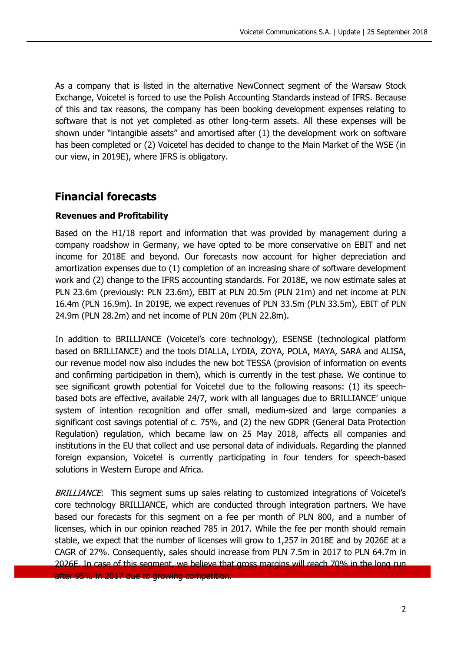As a company that is listed in the alternative NewConnect segment of the Warsaw Stock Exchange, Voicetel is forced to use the Polish Accounting Standards instead of IFRS. Because of this and tax reasons, the company has been booking development expenses relating to software that is not yet completed as other long-term assets. All these expenses will be shown under "intangible assets" and amortised after (1) the development work on software has been completed or (2) Voicetel has decided to change to the Main Market of the WSE (in our view, in 2019E), where IFRS is obligatory.

# **Financial forecasts**

### **Revenues and Profitability**

Based on the H1/18 report and information that was provided by management during a company roadshow in Germany, we have opted to be more conservative on EBIT and net income for 2018E and beyond. Our forecasts now account for higher depreciation and amortization expenses due to (1) completion of an increasing share of software development work and (2) change to the IFRS accounting standards. For 2018E, we now estimate sales at PLN 23.6m (previously: PLN 23.6m), EBIT at PLN 20.5m (PLN 21m) and net income at PLN 16.4m (PLN 16.9m). In 2019E, we expect revenues of PLN 33.5m (PLN 33.5m), EBIT of PLN 24.9m (PLN 28.2m) and net income of PLN 20m (PLN 22.8m).

In addition to BRILLIANCE (Voicetel's core technology), ESENSE (technological platform based on BRILLIANCE) and the tools DIALLA, LYDIA, ZOYA, POLA, MAYA, SARA and ALISA, our revenue model now also includes the new bot TESSA (provision of information on events and confirming participation in them), which is currently in the test phase. We continue to see significant growth potential for Voicetel due to the following reasons: (1) its speechbased bots are effective, available 24/7, work with all languages due to BRILLIANCE' unique system of intention recognition and offer small, medium-sized and large companies a significant cost savings potential of c. 75%, and (2) the new GDPR (General Data Protection Regulation) regulation, which became law on 25 May 2018, affects all companies and institutions in the EU that collect and use personal data of individuals. Regarding the planned foreign expansion, Voicetel is currently participating in four tenders for speech-based solutions in Western Europe and Africa.

BRILLIANCE: This segment sums up sales relating to customized integrations of Voicetel's core technology BRILLIANCE, which are conducted through integration partners. We have based our forecasts for this segment on a fee per month of PLN 800, and a number of licenses, which in our opinion reached 785 in 2017. While the fee per month should remain stable, we expect that the number of licenses will grow to 1,257 in 2018E and by 2026E at a CAGR of 27%. Consequently, sales should increase from PLN 7.5m in 2017 to PLN 64.7m in 2026E. In case of this segment, we believe that gross margins will reach 70% in the long run in 2017 due to growing competition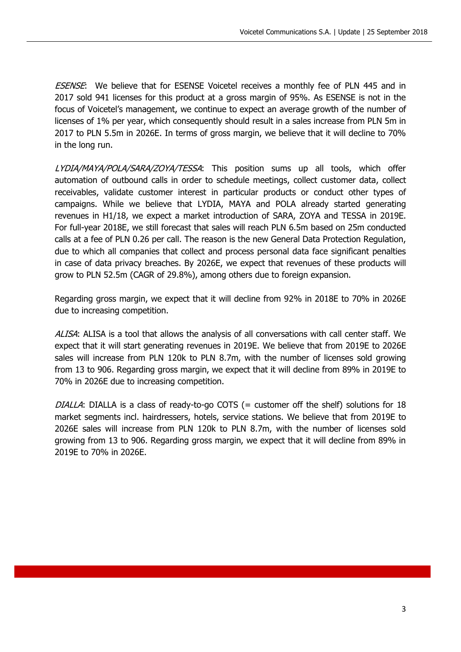ESENSE: We believe that for ESENSE Voicetel receives a monthly fee of PLN 445 and in 2017 sold 941 licenses for this product at a gross margin of 95%. As ESENSE is not in the focus of Voicetel's management, we continue to expect an average growth of the number of licenses of 1% per year, which consequently should result in a sales increase from PLN 5m in 2017 to PLN 5.5m in 2026E. In terms of gross margin, we believe that it will decline to 70% in the long run.

LYDIA/MAYA/POLA/SARA/ZOYA/TESSA: This position sums up all tools, which offer automation of outbound calls in order to schedule meetings, collect customer data, collect receivables, validate customer interest in particular products or conduct other types of campaigns. While we believe that LYDIA, MAYA and POLA already started generating revenues in H1/18, we expect a market introduction of SARA, ZOYA and TESSA in 2019E. For full-year 2018E, we still forecast that sales will reach PLN 6.5m based on 25m conducted calls at a fee of PLN 0.26 per call. The reason is the new General Data Protection Regulation, due to which all companies that collect and process personal data face significant penalties in case of data privacy breaches. By 2026E, we expect that revenues of these products will grow to PLN 52.5m (CAGR of 29.8%), among others due to foreign expansion.

Regarding gross margin, we expect that it will decline from 92% in 2018E to 70% in 2026E due to increasing competition.

ALISA: ALISA is a tool that allows the analysis of all conversations with call center staff. We expect that it will start generating revenues in 2019E. We believe that from 2019E to 2026E sales will increase from PLN 120k to PLN 8.7m, with the number of licenses sold growing from 13 to 906. Regarding gross margin, we expect that it will decline from 89% in 2019E to 70% in 2026E due to increasing competition.

DIALLA: DIALLA is a class of ready-to-go COTS (= customer off the shelf) solutions for 18 market segments incl. hairdressers, hotels, service stations. We believe that from 2019E to 2026E sales will increase from PLN 120k to PLN 8.7m, with the number of licenses sold growing from 13 to 906. Regarding gross margin, we expect that it will decline from 89% in 2019E to 70% in 2026E.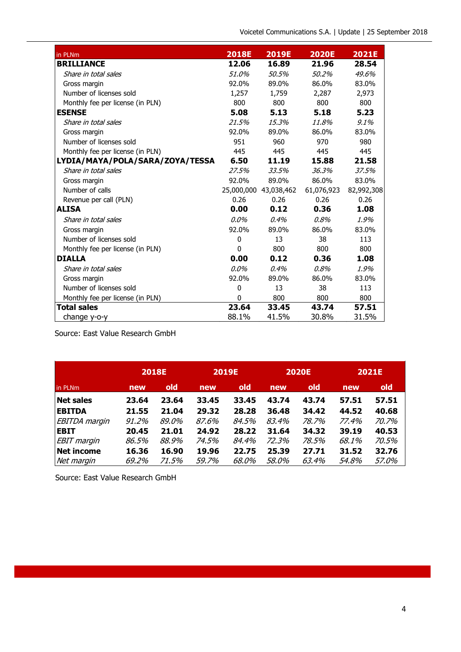| in PLNm                          | <b>2018E</b> | <b>2019E</b>          | <b>2020E</b> | <b>2021E</b> |
|----------------------------------|--------------|-----------------------|--------------|--------------|
| <b>BRILLIANCE</b>                | 12.06        | 16.89                 | 21.96        | 28.54        |
| Share in total sales             | 51.0%        | 50.5%                 | 50.2%        | 49.6%        |
| Gross margin                     | 92.0%        | 89.0%                 | 86.0%        | 83.0%        |
| Number of licenses sold          | 1,257        | 1,759                 | 2,287        | 2,973        |
| Monthly fee per license (in PLN) | 800          | 800                   | 800          | 800          |
| <b>ESENSE</b>                    | 5.08         | 5.13                  | 5.18         | 5.23         |
| Share in total sales             | 21.5%        | 15.3%                 | 11.8%        | 9.1%         |
| Gross margin                     | 92.0%        | 89.0%                 | 86.0%        | 83.0%        |
| Number of licenses sold          | 951          | 960                   | 970          | 980          |
| Monthly fee per license (in PLN) | 445          | 445                   | 445          | 445          |
| LYDIA/MAYA/POLA/SARA/ZOYA/TESSA  | 6.50         | 11.19                 | 15.88        | 21.58        |
| Share in total sales             | 27.5%        | 33.5%                 | 36.3%        | 37.5%        |
| Gross margin                     | 92.0%        | 89.0%                 | 86.0%        | 83.0%        |
| Number of calls                  |              | 25,000,000 43,038,462 | 61,076,923   | 82,992,308   |
| Revenue per call (PLN)           | 0.26         | 0.26                  | 0.26         | 0.26         |
| <b>ALISA</b>                     | 0.00         | 0.12                  | 0.36         | 1.08         |
| Share in total sales             | $0.0\%$      | 0.4%                  | 0.8%         | 1.9%         |
| Gross margin                     | 92.0%        | 89.0%                 | 86.0%        | 83.0%        |
| Number of licenses sold          | 0            | 13                    | 38           | 113          |
| Monthly fee per license (in PLN) | $\Omega$     | 800                   | 800          | 800          |
| <b>DIALLA</b>                    | 0.00         | 0.12                  | 0.36         | 1.08         |
| Share in total sales             | $0.0\%$      | 0.4%                  | 0.8%         | 1.9%         |
| Gross margin                     | 92.0%        | 89.0%                 | 86.0%        | 83.0%        |
| Number of licenses sold          | 0            | 13                    | 38           | 113          |
| Monthly fee per license (in PLN) | 0            | 800                   | 800          | 800          |
| <b>Total sales</b>               | 23.64        | 33.45                 | 43.74        | 57.51        |
| change y-o-y                     | 88.1%        | 41.5%                 | 30.8%        | 31.5%        |

Source: East Value Research GmbH

|                      |       | <b>2018E</b> |       | 2019E |              | <b>2020E</b> |       | <b>2021E</b> |  |
|----------------------|-------|--------------|-------|-------|--------------|--------------|-------|--------------|--|
| in PLNm              | new   | old          | new   | old   | new          | old          | new   | old          |  |
| <b>Net sales</b>     | 23.64 | 23.64        | 33.45 | 33.45 | 43.74        | 43.74        | 57.51 | 57.51        |  |
| <b>EBITDA</b>        | 21.55 | 21.04        | 29.32 | 28.28 | 36.48        | 34.42        | 44.52 | 40.68        |  |
| <b>EBITDA</b> margin | 91.2% | 89.0%        | 87.6% | 84.5% | 83.4%        | 78.7%        | 77.4% | 70.7%        |  |
| <b>EBIT</b>          | 20.45 | 21.01        | 24.92 | 28.22 | 31.64        | 34.32        | 39.19 | 40.53        |  |
| <b>EBIT</b> margin   | 86.5% | 88.9%        | 74.5% | 84.4% | 72.3%        | 78.5%        | 68.1% | <i>70.5%</i> |  |
| Net income           | 16.36 | 16.90        | 19.96 | 22.75 | 25.39        | 27.71        | 31.52 | 32.76        |  |
| Net margin           | 69.2% | 71.5%        | 59.7% | 68.0% | <i>58.0%</i> | 63.4%        | 54.8% | 57.0%        |  |

Source: East Value Research GmbH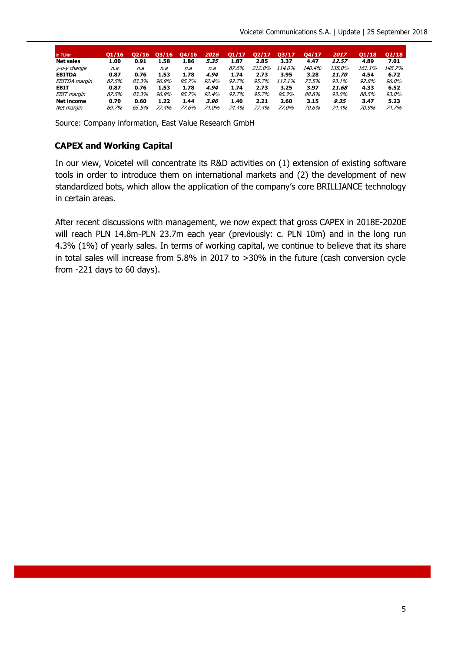| in PLNm              | 01/16 |       | /16   | 04/16 | <i><b>2016</b></i> | O1/17 | 02/17  | 03/17  | 04/17  | 2017                | 01/18  | Q2/18  |
|----------------------|-------|-------|-------|-------|--------------------|-------|--------|--------|--------|---------------------|--------|--------|
| <b>Net sales</b>     | 1.00  | 0.91  | 1.58  | 1.86  | 5.35               | 1.87  | 2.85   | 3.37   | 4.47   | 12.57               | 4.89   | 7.01   |
| y-o-y change         | n.a   | n.a   | n.a   | n.a   | n.a                | 87.6% | 212.0% | 114.0% | 140.4% | <i>135.0%</i>       | 161.1% | 145.7% |
| <b>EBITDA</b>        | 0.87  | 0.76  | 1.53  | 1.78  | 4.94               | 1.74  | 2.73   | 3.95   | 3.28   | <i><b>11.70</b></i> | 4.54   | 6.72   |
| <b>EBITDA</b> margin | 87.5% | 83.3% | 96.9% | 95.7% | 92.4%              | 92.7% | 95.7%  | 117.1% | 73.5%  | 93.1%               | 92.8%  | 96.0%  |
| <b>EBIT</b>          | 0.87  | 0.76  | 1.53  | 1.78  | 4.94               | 1.74  | 2.73   | 3.25   | 3.97   | 11.68               | 4.33   | 6.52   |
| <b>EBIT</b> margin   | 87.5% | 83.3% | 96.9% | 95.7% | 92.4%              | 92.7% | 95.7%  | 96.3%  | 88.8%  | 93.0%               | 88.5%  | 93.0%  |
| <b>Net income</b>    | 0.70  | 0.60  | 1.22  | 1.44  | 3.96               | 1.40  | 2.21   | 2.60   | 3.15   | 9.35                | 3.47   | 5.23   |
| Net margin           | 69.7% | 65.5% | 77.4% | 77.6% | 74.0%              | 74.4% | 77.4%  | 77.0%  | 70.6%  | 74.4%               | 70.9%  | 74.7%  |

Source: Company information, East Value Research GmbH

#### **CAPEX and Working Capital**

In our view, Voicetel will concentrate its R&D activities on (1) extension of existing software tools in order to introduce them on international markets and (2) the development of new standardized bots, which allow the application of the company's core BRILLIANCE technology in certain areas.

After recent discussions with management, we now expect that gross CAPEX in 2018E-2020E will reach PLN 14.8m-PLN 23.7m each year (previously: c. PLN 10m) and in the long run 4.3% (1%) of yearly sales. In terms of working capital, we continue to believe that its share in total sales will increase from 5.8% in 2017 to >30% in the future (cash conversion cycle from -221 days to 60 days).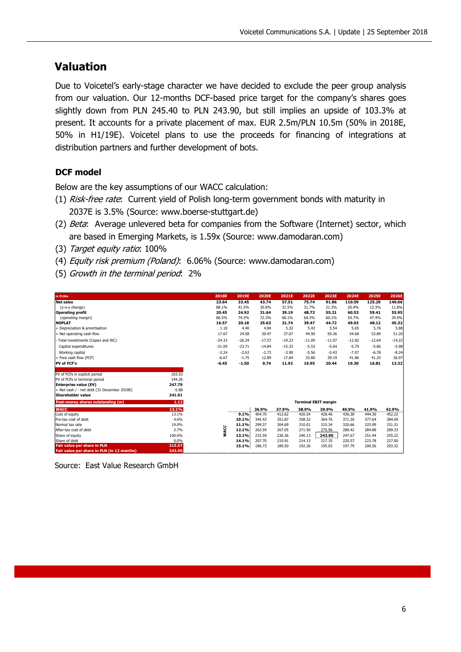# **Valuation**

Due to Voicetel's early-stage character we have decided to exclude the peer group analysis from our valuation. Our 12-months DCF-based price target for the company's shares goes slightly down from PLN 245.40 to PLN 243.90, but still implies an upside of 103.3% at present. It accounts for a private placement of max. EUR 2.5m/PLN 10.5m (50% in 2018E, 50% in H1/19E). Voicetel plans to use the proceeds for financing of integrations at distribution partners and further development of bots.

### **DCF model**

Below are the key assumptions of our WACC calculation:

- (1) Risk-free rate: Current yield of Polish long-term government bonds with maturity in 2037E is 3.5% (Source: www.boerse-stuttgart.de)
- (2) Beta: Average unlevered beta for companies from the Software (Internet) sector, which are based in Emerging Markets, is 1.59x (Source: www.damodaran.com)
- (3) Target equity ratio: 100%
- (4) Equity risk premium (Poland): 6.06% (Source: www.damodaran.com)
- (5) Growth in the terminal period: 2%

| in PLNm                                     |         | 2018E    | 2019E    | 2020E    | 2021E    | 2022E                       | 2023E    | 2024E    | 2025E    | 2026E    |
|---------------------------------------------|---------|----------|----------|----------|----------|-----------------------------|----------|----------|----------|----------|
| <b>Net sales</b>                            |         | 23.64    | 33.45    | 43.74    | 57.51    | 75.74                       | 91.86    | 110.59   | 125.29   | 140.06   |
| (y-o-y change)                              |         | 88.1%    | 41.5%    | 30.8%    | 31.5%    | 31.7%                       | 21.3%    | 20.4%    | 13.3%    | 11.8%    |
| <b>Operating profit</b>                     |         | 20.45    | 24.92    | 31.64    | 39.19    | 48.72                       | 55.21    | 60.53    | 59.41    | 55.95    |
| (operating margin)                          |         | 86.5%    | 74.5%    | 72.3%    | 68.1%    | 64.3%                       | 60.1%    | 54.7%    | 47.4%    | 39.9%    |
| <b>NOPLAT</b>                               |         | 16.57    | 20.18    | 25.63    | 31.74    | 39.47                       | 44.72    | 49.03    | 48.12    | 45.32    |
| + Depreciation & amortisation               |         | 1.10     | 4.40     | 4.84     | 5.32     | 5.43                        | 5.54     | 5.65     | 5.76     | 5.88     |
| = Net operating cash flow                   |         | 17.67    | 24.58    | 30.47    | 37.07    | 44.90                       | 50.26    | 54.68    | 53.89    | 51.20    |
| Total investments (Capex and WC)            |         | $-24.33$ | $-26.34$ | $-17.57$ | $-19.23$ | $-11.09$                    | $-11.07$ | $-12.82$ | $-12.64$ | $-14.22$ |
| Capital expenditures                        |         | $-21.09$ | $-23.71$ | $-14.84$ | $-15.33$ | $-5.53$                     | $-5.64$  | $-5.75$  | $-5.86$  | $-5.98$  |
| Working capital                             |         | $-3.24$  | $-2.63$  | $-2.73$  | $-3.90$  | $-5.56$                     | $-5.43$  | $-7.07$  | $-6.78$  | $-8.24$  |
| = Free cash flow (FCF)                      |         | $-6.67$  | $-1.75$  | 12.89    | 17.84    | 33.80                       | 39.19    | 41.86    | 41.25    | 36.97    |
| <b>PV of FCF's</b>                          |         | $-6.45$  | $-1.50$  | 9.74     | 11.92    | 19.95                       | 20.44    | 19.30    | 16.81    | 13.32    |
|                                             |         |          |          |          |          |                             |          |          |          |          |
| PV of FCFs in explicit period               | 103.53  |          |          |          |          |                             |          |          |          |          |
| PV of FCFs in terminal period               | 144.26  |          |          |          |          |                             |          |          |          |          |
| <b>Enterprise value (EV)</b>                | 247.79  |          |          |          |          |                             |          |          |          |          |
| + Net cash / - net debt (31 December 2018E) | $-5.88$ |          |          |          |          |                             |          |          |          |          |
| <b>Shareholder value</b>                    | 241.91  |          |          |          |          |                             |          |          |          |          |
| Post-money shares outstanding (m)           | 1.12    |          |          |          |          | <b>Terminal EBIT margin</b> |          |          |          |          |
| <b>WACC</b>                                 | 13.1%   |          |          | 36.9%    | 37.9%    | 38.9%                       | 39.9%    | 40.9%    | 41.9%    | 42.9%    |
| Cost of equity                              | 13.1%   |          | 9.1%     | 404.70   | 412.62   | 420.54                      | 428.46   | 436.38   | 444.30   | 452.22   |
| Pre-tax cost of debt                        | 4.6%    |          | 10.1%    | 345.43   | 351.87   | 358.32                      | 364.76   | 371.20   | 377.64   | 384.09   |
| Normal tax rate                             | 19.0%   |          | 11.1%    | 299.37   | 304.69   | 310.01                      | 315.34   | 320.66   | 325.99   | 331.31   |
| After-tax cost of debt                      | 3.7%    | WACC     | 12.1%    | 262.59   | 267.05   | 271.50                      | 275.96   | 280.42   | 284.88   | 289.33   |
| Share of equity                             | 100.0%  |          | 13.1%    | 232.59   | 236.36   | 240.13                      | 243.90   | 247.67   | 251.44   | 255.22   |
| Share of debt                               | 0.0%    |          | 14.1%    | 207.70   | 210.91   | 214.13                      | 217.35   | 220.57   | 223.78   | 227.00   |
| Fair value per share in PLN                 | 215.57  |          | 15.1%    | 186.73   | 189.50   | 192.26                      | 195.03   | 197.79   | 200.56   | 203.32   |
| Fair value per share in PLN (in 12 months)  | 243.90  |          |          |          |          |                             |          |          |          |          |

Source: East Value Research GmbH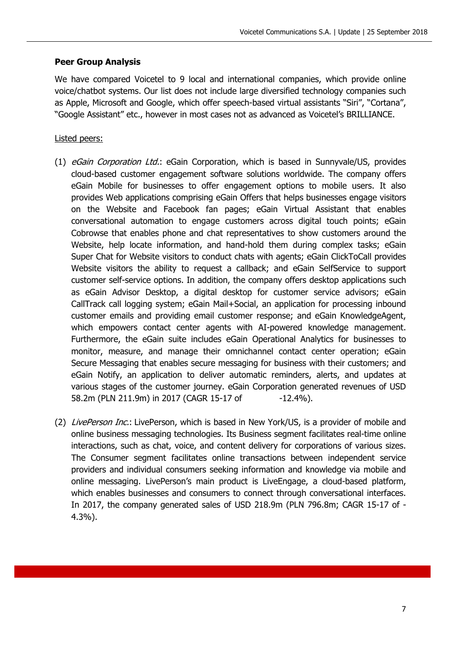#### **Peer Group Analysis**

We have compared Voicetel to 9 local and international companies, which provide online voice/chatbot systems. Our list does not include large diversified technology companies such as Apple, Microsoft and Google, which offer speech-based virtual assistants "Siri", "Cortana", "Google Assistant" etc., however in most cases not as advanced as Voicetel's BRILLIANCE.

#### Listed peers:

- (1) eGain Corporation Ltd.: eGain Corporation, which is based in Sunnyvale/US, provides cloud-based customer engagement software solutions worldwide. The company offers eGain Mobile for businesses to offer engagement options to mobile users. It also provides Web applications comprising eGain Offers that helps businesses engage visitors on the Website and Facebook fan pages; eGain Virtual Assistant that enables conversational automation to engage customers across digital touch points; eGain Cobrowse that enables phone and chat representatives to show customers around the Website, help locate information, and hand-hold them during complex tasks; eGain Super Chat for Website visitors to conduct chats with agents; eGain ClickToCall provides Website visitors the ability to request a callback; and eGain SelfService to support customer self-service options. In addition, the company offers desktop applications such as eGain Advisor Desktop, a digital desktop for customer service advisors; eGain CallTrack call logging system; eGain Mail+Social, an application for processing inbound customer emails and providing email customer response; and eGain KnowledgeAgent, which empowers contact center agents with AI-powered knowledge management. Furthermore, the eGain suite includes eGain Operational Analytics for businesses to monitor, measure, and manage their omnichannel contact center operation; eGain Secure Messaging that enables secure messaging for business with their customers; and eGain Notify, an application to deliver automatic reminders, alerts, and updates at various stages of the customer journey. eGain Corporation generated revenues of USD 58.2m (PLN 211.9m) in 2017 (CAGR 15-17 of -12.4%).
- (2) LivePerson Inc.: LivePerson, which is based in New York/US, is a provider of mobile and online business messaging technologies. Its Business segment facilitates real-time online interactions, such as chat, voice, and content delivery for corporations of various sizes. The Consumer segment facilitates online transactions between independent service providers and individual consumers seeking information and knowledge via mobile and online messaging. LivePerson's main product is LiveEngage, a cloud-based platform, which enables businesses and consumers to connect through conversational interfaces. In 2017, the company generated sales of USD 218.9m (PLN 796.8m; CAGR 15-17 of - 4.3%).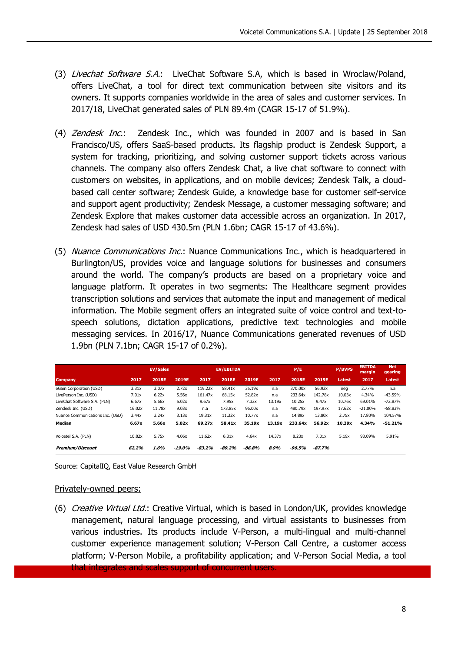- (3) Livechat Software S.A.: LiveChat Software S.A, which is based in Wroclaw/Poland, offers LiveChat, a tool for direct text communication between site visitors and its owners. It supports companies worldwide in the area of sales and customer services. In 2017/18, LiveChat generated sales of PLN 89.4m (CAGR 15-17 of 51.9%).
- (4) Zendesk Inc.: Zendesk Inc., which was founded in 2007 and is based in San Francisco/US, offers SaaS-based products. Its flagship product is Zendesk Support, a system for tracking, prioritizing, and solving customer support tickets across various channels. The company also offers Zendesk Chat, a live chat software to connect with customers on websites, in applications, and on mobile devices; Zendesk Talk, a cloudbased call center software; Zendesk Guide, a knowledge base for customer self-service and support agent productivity; Zendesk Message, a customer messaging software; and Zendesk Explore that makes customer data accessible across an organization. In 2017, Zendesk had sales of USD 430.5m (PLN 1.6bn; CAGR 15-17 of 43.6%).
- (5) Nuance Communications Inc.: Nuance Communications Inc., which is headquartered in Burlington/US, provides voice and language solutions for businesses and consumers around the world. The company's products are based on a proprietary voice and language platform. It operates in two segments: The Healthcare segment provides transcription solutions and services that automate the input and management of medical information. The Mobile segment offers an integrated suite of voice control and text-tospeech solutions, dictation applications, predictive text technologies and mobile messaging services. In 2016/17, Nuance Communications generated revenues of USD 1.9bn (PLN 7.1bn; CAGR 15-17 of 0.2%).

|                                  |        | <b>EV/Sales</b> |           |          | <b>EV/EBITDA</b> |          |        | P/E     |          | <b>P/BVPS</b> | <b>EBITDA</b><br>margin | <b>Net</b><br>gearing |
|----------------------------------|--------|-----------------|-----------|----------|------------------|----------|--------|---------|----------|---------------|-------------------------|-----------------------|
| <b>Company</b>                   | 2017   | 2018E           | 2019E     | 2017     | <b>2018E</b>     | 2019E    | 2017   | 2018E   | 2019E    | Latest        | 2017                    | Latest                |
| eGain Corporation (USD)          | 3.31x  | 3.07x           | 2.72x     | 119.22x  | 58.41x           | 35.19x   | n.a    | 370.00x | 56.92x   | neg           | 2.77%                   | n.a                   |
| LivePerson Inc. (USD)            | 7.01x  | 6.22x           | 5.56x     | 161.47x  | 68.15x           | 52.82x   | n.a    | 233.64x | 142.78x  | 10.03x        | 4.34%                   | $-43.59%$             |
| LiveChat Software S.A. (PLN)     | 6.67x  | 5.66x           | 5.02x     | 9.67x    | 7.95x            | 7.32x    | 13.19x | 10.25x  | 9.47x    | 10.76x        | 69.01%                  | $-72.87%$             |
| Zendesk Inc. (USD)               | 16.02x | 11.78x          | 9.03x     | n.a      | 173.85x          | 96.00x   | n.a    | 480.79x | 197.97x  | 17.62x        | $-21.00%$               | $-58.83%$             |
| Nuance Communications Inc. (USD) | 3.44x  | 3.24x           | 3.13x     | 19.31x   | 11.32x           | 10.77x   | n.a    | 14.89x  | 13.80x   | 2.75x         | 17.80%                  | 104.57%               |
| Median                           | 6.67x  | 5.66x           | 5.02x     | 69.27x   | 58.41x           | 35.19x   | 13.19x | 233.64x | 56.92x   | 10.39x        | 4.34%                   | $-51.21%$             |
| Voicetel S.A. (PLN)              | 10.82x | 5.75x           | 4.06x     | 11.62x   | 6.31x            | 4.64x    | 14.37x | 8.23x   | 7.01x    | 5.19x         | 93.09%                  | 5.91%                 |
| <b>Premium/Discount</b>          | 62.2%  | 1.6%            | $-19.0\%$ | $-83.2%$ | $-89.2\%$        | $-86.8%$ | 8.9%   | -96.5%  | $-87.7%$ |               |                         |                       |

Source: CapitalIQ, East Value Research GmbH

#### Privately-owned peers:

(6) Creative Virtual Ltd.: Creative Virtual, which is based in London/UK, provides knowledge management, natural language processing, and virtual assistants to businesses from various industries. Its products include V-Person, a multi-lingual and multi-channel customer experience management solution; V-Person Call Centre, a customer access platform; V-Person Mobile, a profitability application; and V-Person Social Media, a tool that integrates and scales support of concurrent users.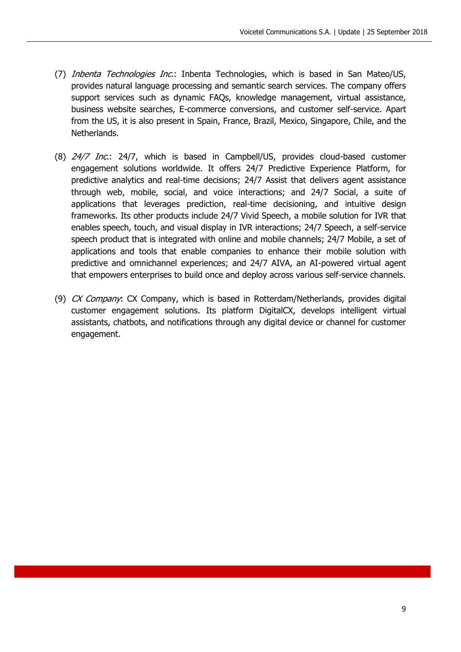- (7) Inbenta Technologies Inc.: Inbenta Technologies, which is based in San Mateo/US, provides natural language processing and semantic search services. The company offers support services such as dynamic FAQs, knowledge management, virtual assistance, business website searches, E-commerce conversions, and customer self-service. Apart from the US, it is also present in Spain, France, Brazil, Mexico, Singapore, Chile, and the Netherlands.
- (8) 24/7 Inc.: 24/7, which is based in Campbell/US, provides cloud-based customer engagement solutions worldwide. It offers 24/7 Predictive Experience Platform, for predictive analytics and real-time decisions; 24/7 Assist that delivers agent assistance through web, mobile, social, and voice interactions; and 24/7 Social, a suite of applications that leverages prediction, real-time decisioning, and intuitive design frameworks. Its other products include 24/7 Vivid Speech, a mobile solution for IVR that enables speech, touch, and visual display in IVR interactions; 24/7 Speech, a self-service speech product that is integrated with online and mobile channels; 24/7 Mobile, a set of applications and tools that enable companies to enhance their mobile solution with predictive and omnichannel experiences; and 24/7 AIVA, an AI-powered virtual agent that empowers enterprises to build once and deploy across various self-service channels.
- (9) CX Company: CX Company, which is based in Rotterdam/Netherlands, provides digital customer engagement solutions. Its platform DigitalCX, develops intelligent virtual assistants, chatbots, and notifications through any digital device or channel for customer engagement.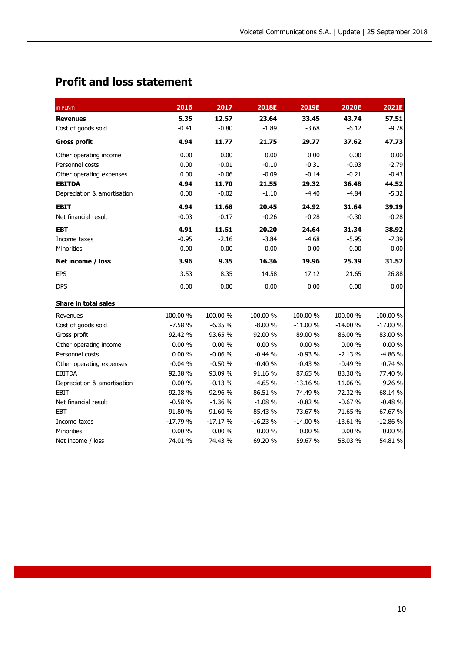# **Profit and loss statement**

| in PLNm                     | 2016      | 2017      | <b>2018E</b> | 2019E     | 2020E     | 2021E     |
|-----------------------------|-----------|-----------|--------------|-----------|-----------|-----------|
| <b>Revenues</b>             | 5.35      | 12.57     | 23.64        | 33.45     | 43.74     | 57.51     |
| Cost of goods sold          | $-0.41$   | $-0.80$   | $-1.89$      | $-3.68$   | $-6.12$   | $-9.78$   |
| <b>Gross profit</b>         | 4.94      | 11.77     | 21.75        | 29.77     | 37.62     | 47.73     |
| Other operating income      | 0.00      | 0.00      | 0.00         | 0.00      | 0.00      | 0.00      |
| Personnel costs             | 0.00      | $-0.01$   | $-0.10$      | $-0.31$   | $-0.93$   | $-2.79$   |
| Other operating expenses    | 0.00      | $-0.06$   | $-0.09$      | $-0.14$   | $-0.21$   | $-0.43$   |
| <b>EBITDA</b>               | 4.94      | 11.70     | 21.55        | 29.32     | 36.48     | 44.52     |
| Depreciation & amortisation | 0.00      | $-0.02$   | $-1.10$      | $-4.40$   | $-4.84$   | $-5.32$   |
| <b>EBIT</b>                 | 4.94      | 11.68     | 20.45        | 24.92     | 31.64     | 39.19     |
| Net financial result        | $-0.03$   | $-0.17$   | $-0.26$      | $-0.28$   | $-0.30$   | $-0.28$   |
| <b>EBT</b>                  | 4.91      | 11.51     | 20.20        | 24.64     | 31.34     | 38.92     |
| Income taxes                | $-0.95$   | $-2.16$   | $-3.84$      | $-4.68$   | $-5.95$   | $-7.39$   |
| Minorities                  | 0.00      | 0.00      | 0.00         | 0.00      | 0.00      | 0.00      |
| Net income / loss           | 3.96      | 9.35      | 16.36        | 19.96     | 25.39     | 31.52     |
| <b>EPS</b>                  | 3.53      | 8.35      | 14.58        | 17.12     | 21.65     | 26.88     |
| <b>DPS</b>                  | 0.00      | 0.00      | 0.00         | 0.00      | 0.00      | 0.00      |
| <b>Share in total sales</b> |           |           |              |           |           |           |
| Revenues                    | 100.00 %  | 100.00 %  | 100.00 %     | 100.00 %  | 100.00 %  | 100.00 %  |
| Cost of goods sold          | $-7.58%$  | $-6.35%$  | $-8.00%$     | $-11.00%$ | $-14.00%$ | $-17.00%$ |
| Gross profit                | 92.42 %   | 93.65 %   | 92.00 %      | 89.00 %   | 86.00 %   | 83.00 %   |
| Other operating income      | $0.00 \%$ | 0.00%     | 0.00%        | $0.00 \%$ | $0.00 \%$ | 0.00%     |
| Personnel costs             | 0.00%     | $-0.06%$  | $-0.44%$     | $-0.93%$  | $-2.13%$  | $-4.86%$  |
| Other operating expenses    | $-0.04%$  | $-0.50%$  | $-0.40%$     | $-0.43%$  | $-0.49%$  | $-0.74%$  |
| <b>EBITDA</b>               | 92.38 %   | 93.09 %   | 91.16 %      | 87.65 %   | 83.38 %   | 77.40 %   |
| Depreciation & amortisation | 0.00%     | $-0.13%$  | $-4.65%$     | $-13.16%$ | $-11.06%$ | $-9.26%$  |
| <b>EBIT</b>                 | 92.38 %   | 92.96 %   | 86.51 %      | 74.49 %   | 72.32 %   | 68.14 %   |
| Net financial result        | $-0.58%$  | $-1.36%$  | $-1.08%$     | $-0.82%$  | $-0.67%$  | $-0.48%$  |
| <b>EBT</b>                  | 91.80 %   | 91.60 %   | 85.43 %      | 73.67 %   | 71.65 %   | 67.67 %   |
| Income taxes                | $-17.79%$ | $-17.17%$ | $-16.23%$    | $-14.00%$ | $-13.61%$ | $-12.86%$ |
| Minorities                  | 0.00%     | $0.00 \%$ | 0.00%        | 0.00%     | 0.00%     | 0.00 %    |
| Net income / loss           | 74.01 %   | 74.43 %   | 69.20 %      | 59.67 %   | 58.03 %   | 54.81 %   |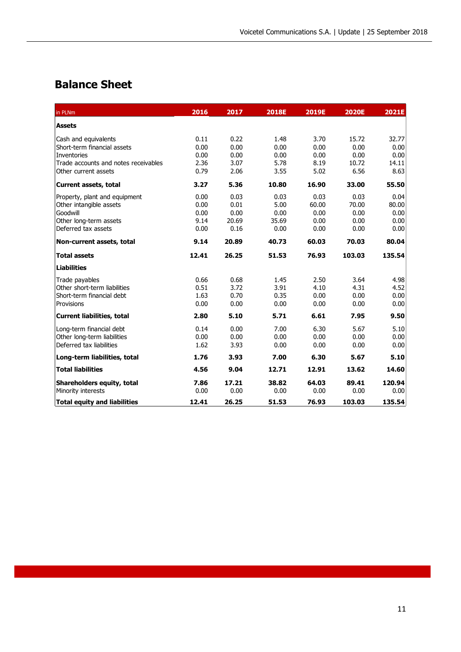# **Balance Sheet**

| in PLNm                                                                                                                                                                   | 2016                                         | 2017                                         | <b>2018E</b>                                  | 2019E                                         | <b>2020E</b>                                    | 2021E                                           |
|---------------------------------------------------------------------------------------------------------------------------------------------------------------------------|----------------------------------------------|----------------------------------------------|-----------------------------------------------|-----------------------------------------------|-------------------------------------------------|-------------------------------------------------|
| <b>Assets</b>                                                                                                                                                             |                                              |                                              |                                               |                                               |                                                 |                                                 |
| Cash and equivalents<br>Short-term financial assets<br><b>Inventories</b><br>Trade accounts and notes receivables<br>Other current assets<br><b>Current assets, total</b> | 0.11<br>0.00<br>0.00<br>2.36<br>0.79<br>3.27 | 0.22<br>0.00<br>0.00<br>3.07<br>2.06<br>5.36 | 1.48<br>0.00<br>0.00<br>5.78<br>3.55<br>10.80 | 3.70<br>0.00<br>0.00<br>8.19<br>5.02<br>16.90 | 15.72<br>0.00<br>0.00<br>10.72<br>6.56<br>33.00 | 32.77<br>0.00<br>0.00<br>14.11<br>8.63<br>55.50 |
| Property, plant and equipment<br>Other intangible assets<br>Goodwill<br>Other long-term assets<br>Deferred tax assets                                                     | 0.00<br>0.00<br>0.00<br>9.14<br>0.00         | 0.03<br>0.01<br>0.00<br>20.69<br>0.16        | 0.03<br>5.00<br>0.00<br>35.69<br>0.00         | 0.03<br>60.00<br>0.00<br>0.00<br>0.00         | 0.03<br>70.00<br>0.00<br>0.00<br>0.00           | 0.04<br>80.00<br>0.00<br>0.00<br>0.00           |
| Non-current assets, total                                                                                                                                                 | 9.14                                         | 20.89                                        | 40.73                                         | 60.03                                         | 70.03                                           | 80.04                                           |
| <b>Total assets</b>                                                                                                                                                       | 12.41                                        | 26.25                                        | 51.53                                         | 76.93                                         | 103.03                                          | 135.54                                          |
| <b>Liabilities</b>                                                                                                                                                        |                                              |                                              |                                               |                                               |                                                 |                                                 |
| Trade payables<br>Other short-term liabilities<br>Short-term financial debt<br>Provisions                                                                                 | 0.66<br>0.51<br>1.63<br>0.00                 | 0.68<br>3.72<br>0.70<br>0.00                 | 1.45<br>3.91<br>0.35<br>0.00                  | 2.50<br>4.10<br>0.00<br>0.00                  | 3.64<br>4.31<br>0.00<br>0.00                    | 4.98<br>4.52<br>0.00<br>0.00                    |
| Current liabilities, total                                                                                                                                                | 2.80                                         | 5.10                                         | 5.71                                          | 6.61                                          | 7.95                                            | 9.50                                            |
| Long-term financial debt<br>Other long-term liabilities<br>Deferred tax liabilities                                                                                       | 0.14<br>0.00<br>1.62                         | 0.00<br>0.00<br>3.93                         | 7.00<br>0.00<br>0.00                          | 6.30<br>0.00<br>0.00                          | 5.67<br>0.00<br>0.00                            | 5.10<br>0.00<br>0.00                            |
| Long-term liabilities, total                                                                                                                                              | 1.76                                         | 3.93                                         | 7.00                                          | 6.30                                          | 5.67                                            | 5.10                                            |
| <b>Total liabilities</b>                                                                                                                                                  | 4.56                                         | 9.04                                         | 12.71                                         | 12.91                                         | 13.62                                           | 14.60                                           |
| Shareholders equity, total<br>Minority interests                                                                                                                          | 7.86<br>0.00                                 | 17.21<br>0.00                                | 38.82<br>0.00                                 | 64.03<br>0.00                                 | 89.41<br>0.00                                   | 120.94<br>0.00                                  |
| <b>Total equity and liabilities</b>                                                                                                                                       | 12.41                                        | 26.25                                        | 51.53                                         | 76.93                                         | 103.03                                          | 135.54                                          |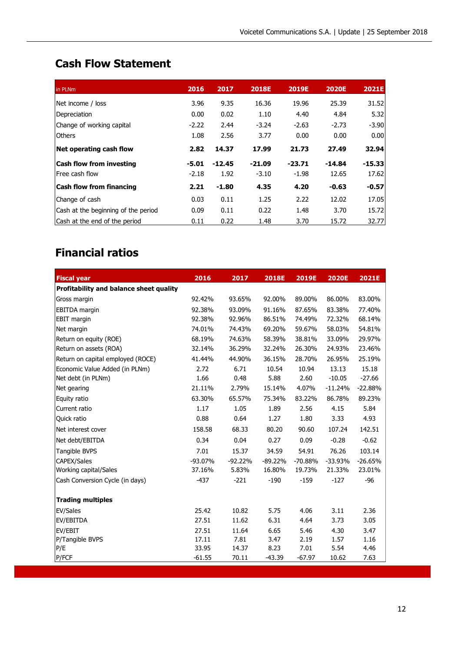# **Cash Flow Statement**

| in PLNm                             | 2016    | 2017     | <b>2018E</b> | <b>2019E</b> | <b>2020E</b> | <b>2021E</b> |
|-------------------------------------|---------|----------|--------------|--------------|--------------|--------------|
| Net income / loss                   | 3.96    | 9.35     | 16.36        | 19.96        | 25.39        | 31.52        |
| Depreciation                        | 0.00    | 0.02     | 1.10         | 4.40         | 4.84         | 5.32         |
| Change of working capital           | $-2.22$ | 2.44     | $-3.24$      | $-2.63$      | $-2.73$      | $-3.90$      |
| <b>Others</b>                       | 1.08    | 2.56     | 3.77         | 0.00         | 0.00         | 0.00         |
| Net operating cash flow             | 2.82    | 14.37    | 17.99        | 21.73        | 27.49        | 32.94        |
| <b>Cash flow from investing</b>     | $-5.01$ | $-12.45$ | $-21.09$     | $-23.71$     | $-14.84$     | $-15.33$     |
| Free cash flow                      | $-2.18$ | 1.92     | $-3.10$      | $-1.98$      | 12.65        | 17.62        |
| <b>Cash flow from financing</b>     | 2.21    | $-1.80$  | 4.35         | 4.20         | $-0.63$      | $-0.57$      |
| Change of cash                      | 0.03    | 0.11     | 1.25         | 2.22         | 12.02        | 17.05        |
| Cash at the beginning of the period | 0.09    | 0.11     | 0.22         | 1.48         | 3.70         | 15.72        |
| Cash at the end of the period       | 0.11    | 0.22     | 1.48         | 3.70         | 15.72        | 32.77        |

# **Financial ratios**

| <b>Fiscal year</b>                      | 2016     | 2017      | 2018E     | 2019E     | <b>2020E</b> | 2021E     |
|-----------------------------------------|----------|-----------|-----------|-----------|--------------|-----------|
| Profitability and balance sheet quality |          |           |           |           |              |           |
| Gross margin                            | 92.42%   | 93.65%    | 92.00%    | 89.00%    | 86.00%       | 83.00%    |
| <b>EBITDA</b> margin                    | 92.38%   | 93.09%    | 91.16%    | 87.65%    | 83.38%       | 77.40%    |
| <b>EBIT margin</b>                      | 92.38%   | 92.96%    | 86.51%    | 74.49%    | 72.32%       | 68.14%    |
| Net margin                              | 74.01%   | 74.43%    | 69.20%    | 59.67%    | 58.03%       | 54.81%    |
| Return on equity (ROE)                  | 68.19%   | 74.63%    | 58.39%    | 38.81%    | 33.09%       | 29.97%    |
| Return on assets (ROA)                  | 32.14%   | 36.29%    | 32.24%    | 26.30%    | 24.93%       | 23.46%    |
| Return on capital employed (ROCE)       | 41.44%   | 44.90%    | 36.15%    | 28.70%    | 26.95%       | 25.19%    |
| Economic Value Added (in PLNm)          | 2.72     | 6.71      | 10.54     | 10.94     | 13.13        | 15.18     |
| Net debt (in PLNm)                      | 1.66     | 0.48      | 5.88      | 2.60      | $-10.05$     | $-27.66$  |
| Net gearing                             | 21.11%   | 2.79%     | 15.14%    | 4.07%     | $-11.24%$    | $-22.88%$ |
| Equity ratio                            | 63.30%   | 65.57%    | 75.34%    | 83.22%    | 86.78%       | 89.23%    |
| Current ratio                           | 1.17     | 1.05      | 1.89      | 2.56      | 4.15         | 5.84      |
| <b>Quick ratio</b>                      | 0.88     | 0.64      | 1.27      | 1.80      | 3.33         | 4.93      |
| Net interest cover                      | 158.58   | 68.33     | 80.20     | 90.60     | 107.24       | 142.51    |
| Net debt/EBITDA                         | 0.34     | 0.04      | 0.27      | 0.09      | $-0.28$      | $-0.62$   |
| Tangible BVPS                           | 7.01     | 15.37     | 34.59     | 54.91     | 76.26        | 103.14    |
| <b>CAPEX/Sales</b>                      | -93.07%  | $-92.22%$ | $-89.22%$ | $-70.88%$ | $-33.93%$    | $-26.65%$ |
| Working capital/Sales                   | 37.16%   | 5.83%     | 16.80%    | 19.73%    | 21.33%       | 23.01%    |
| Cash Conversion Cycle (in days)         | $-437$   | $-221$    | $-190$    | $-159$    | $-127$       | $-96$     |
| <b>Trading multiples</b>                |          |           |           |           |              |           |
| EV/Sales                                | 25.42    | 10.82     | 5.75      | 4.06      | 3.11         | 2.36      |
| EV/EBITDA                               | 27.51    | 11.62     | 6.31      | 4.64      | 3.73         | 3.05      |
| EV/EBIT                                 | 27.51    | 11.64     | 6.65      | 5.46      | 4.30         | 3.47      |
| P/Tangible BVPS                         | 17.11    | 7.81      | 3.47      | 2.19      | 1.57         | 1.16      |
| P/E                                     | 33.95    | 14.37     | 8.23      | 7.01      | 5.54         | 4.46      |
| P/FCF                                   | $-61.55$ | 70.11     | $-43.39$  | $-67.97$  | 10.62        | 7.63      |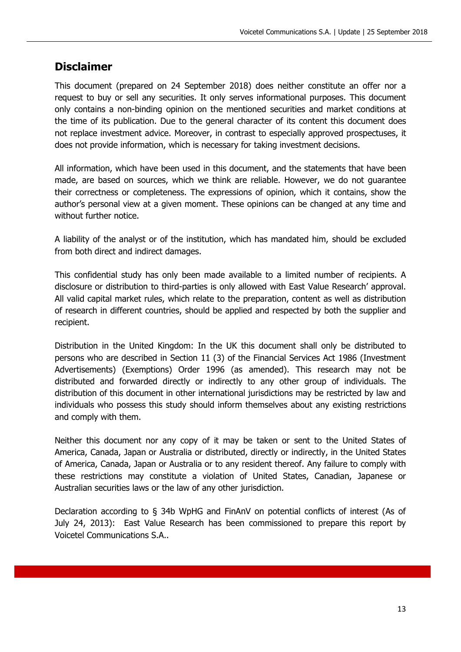## **Disclaimer**

This document (prepared on 24 September 2018) does neither constitute an offer nor a request to buy or sell any securities. It only serves informational purposes. This document only contains a non-binding opinion on the mentioned securities and market conditions at the time of its publication. Due to the general character of its content this document does not replace investment advice. Moreover, in contrast to especially approved prospectuses, it does not provide information, which is necessary for taking investment decisions.

All information, which have been used in this document, and the statements that have been made, are based on sources, which we think are reliable. However, we do not guarantee their correctness or completeness. The expressions of opinion, which it contains, show the author's personal view at a given moment. These opinions can be changed at any time and without further notice.

A liability of the analyst or of the institution, which has mandated him, should be excluded from both direct and indirect damages.

This confidential study has only been made available to a limited number of recipients. A disclosure or distribution to third-parties is only allowed with East Value Research' approval. All valid capital market rules, which relate to the preparation, content as well as distribution of research in different countries, should be applied and respected by both the supplier and recipient.

Distribution in the United Kingdom: In the UK this document shall only be distributed to persons who are described in Section 11 (3) of the Financial Services Act 1986 (Investment Advertisements) (Exemptions) Order 1996 (as amended). This research may not be distributed and forwarded directly or indirectly to any other group of individuals. The distribution of this document in other international jurisdictions may be restricted by law and individuals who possess this study should inform themselves about any existing restrictions and comply with them.

Neither this document nor any copy of it may be taken or sent to the United States of America, Canada, Japan or Australia or distributed, directly or indirectly, in the United States of America, Canada, Japan or Australia or to any resident thereof. Any failure to comply with these restrictions may constitute a violation of United States, Canadian, Japanese or Australian securities laws or the law of any other jurisdiction.

Declaration according to § 34b WpHG and FinAnV on potential conflicts of interest (As of July 24, 2013): East Value Research has been commissioned to prepare this report by Voicetel Communications S.A..